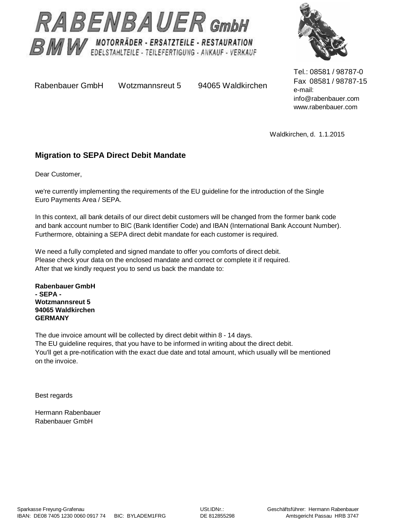



Rabenbauer GmbH Wotzmannsreut 5 94065 Waldkirchen

Tel.: 08581 / 98787-0 Fax 08581 / 98787-15 e-mail: [info@rabenbauer.com](mailto:info@rabenbauer.com) [www.rabenbauer.com](http://www.rabenbauer.com)

Waldkirchen, d. 1.1.2015

### **Migration to SEPA Direct Debit Mandate**

Dear Customer,

we're currently implementing the requirements of the EU guideline for the introduction of the Single Euro Payments Area / SEPA.

In this context, all bank details of our direct debit customers will be changed from the former bank code and bank account number to BIC (Bank Identifier Code) and IBAN (International Bank Account Number). Furthermore, obtaining a SEPA direct debit mandate for each customer is required.

We need a fully completed and signed mandate to offer you comforts of direct debit. Please check your data on the enclosed mandate and correct or complete it if required. After that we kindly request you to send us back the mandate to:

**Rabenbauer GmbH - SEPA - Wotzmannsreut 5 94065 Waldkirchen GERMANY**

The due invoice amount will be collected by direct debit within 8 - 14 days. The EU guideline requires, that you have to be informed in writing about the direct debit. You'll get a pre-notification with the exact due date and total amount, which usually will be mentioned on the invoice.

Best regards

Hermann Rabenbauer Rabenbauer GmbH